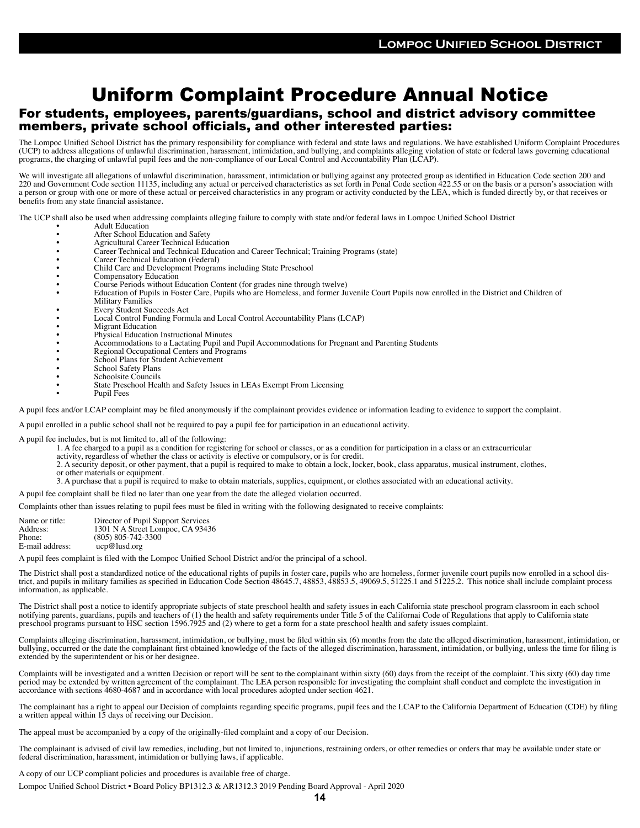## Uniform Complaint Procedure Annual Notice

## For students, employees, parents/guardians, school and district advisory committee members, private school officials, and other interested parties:

The Lompoc Unified School District has the primary responsibility for compliance with federal and state laws and regulations. We have established Uniform Complaint Procedures (UCP) to address allegations of unlawful discrimination, harassment, intimidation, and bullying, and complaints alleging violation of state or federal laws governing educational programs, the charging of unlawful pupil fees and the non-compliance of our Local Control and Accountability Plan (LCAP).

We will investigate all allegations of unlawful discrimination, harassment, intimidation or bullying against any protected group as identified in Education Code section 200 and 220 and Government Code section 11135, including any actual or perceived characteristics as set forth in Penal Code section 422.55 or on the basis or a person's association with a person or group with one or more of these actual or perceived characteristics in any program or activity conducted by the LEA, which is funded directly by, or that receives or benefits from any state financial assistance.

The UCP shall also be used when addressing complaints alleging failure to comply with state and/or federal laws in Lompoc Unified School District

- **Adult Education**
- After School Education and Safety
- Agricultural Career Technical Education<br>• Career Technical and Technical Educatio
- Career Technical and Technical Education and Career Technical; Training Programs (state)
- Career Technical Education (Federal)
- Child Care and Development Programs including State Preschool
- Compensatory Education
- 
- Course Periods without Education Content (for grades nine through twelve) Education of Pupils in Foster Care, Pupils who are Homeless, and former Juvenile Court Pupils now enrolled in the District and Children of Military Families
- Every Student Succeeds Act
- Local Control Funding Formula and Local Control Accountability Plans (LCAP)
- **Migrant Education**
- Physical Education Instructional Minutes
- Accommodations to a Lactating Pupil and Pupil Accommodations for Pregnant and Parenting Students
- Regional Occupational Centers and Programs
- School Plans for Student Achievement
- School Safety Plans
- Schoolsite Councils
- State Preschool Health and Safety Issues in LEAs Exempt From Licensing
- Pupil Fees

A pupil fees and/or LCAP complaint may be filed anonymously if the complainant provides evidence or information leading to evidence to support the complaint.

A pupil enrolled in a public school shall not be required to pay a pupil fee for participation in an educational activity.

A pupil fee includes, but is not limited to, all of the following:

- 1. A fee charged to a pupil as a condition for registering for school or classes, or as a condition for participation in a class or an extracurricular
- activity, regardless of whether the class or activity is elective or compulsory, or is for credit.
- 2. A security deposit, or other payment, that a pupil is required to make to obtain a lock, locker, book, class apparatus, musical instrument, clothes,
- or other materials or equipment.
- 3. A purchase that a pupil is required to make to obtain materials, supplies, equipment, or clothes associated with an educational activity.
- A pupil fee complaint shall be filed no later than one year from the date the alleged violation occurred.

Complaints other than issues relating to pupil fees must be filed in writing with the following designated to receive complaints:

| Name or title:  | Director of Pupil Support Services |
|-----------------|------------------------------------|
| Address:        | 1301 N A Street Lompoc, CA 93436   |
| Phone:          | $(805)$ 805-742-3300               |
| E-mail address: | $ucp@l$ lusd.org                   |

A pupil fees complaint is filed with the Lompoc Unified School District and/or the principal of a school.

The District shall post a standardized notice of the educational rights of pupils in foster care, pupils who are homeless, former juvenile court pupils now enrolled in a school district, and pupils in military families as specified in Education Code Section 48645.7, 48853, 48853.5, 49069.5, 51225.1 and 51225.2. This notice shall include complaint process information, as applicable.

The District shall post a notice to identify appropriate subjects of state preschool health and safety issues in each California state preschool program classroom in each school notifying parents, guardians, pupils and teachers of (1) the health and safety requirements under Title 5 of the Californai Code of Regulations that apply to California state preschool programs pursuant to HSC section 1596.7925 and (2) where to get a form for a state preschool health and safety issues complaint.

Complaints alleging discrimination, harassment, intimidation, or bullying, must be filed within six (6) months from the date the alleged discrimination, harassment, intimidation, or bullying, occurred or the date the complainant first obtained knowledge of the facts of the alleged discrimination, harassment, intimidation, or bullying, unless the time for filing is extended by the superintendent or his or her designee.

Complaints will be investigated and a written Decision or report will be sent to the complainant within sixty (60) days from the receipt of the complaint. This sixty (60) day time period may be extended by written agreement of the complainant. The LEA person responsible for investigating the complaint shall conduct and complete the investigation in accordance with sections 4680-4687 and in accordance with local procedures adopted under section 4621.

The complainant has a right to appeal our Decision of complaints regarding specific programs, pupil fees and the LCAP to the California Department of Education (CDE) by filing a written appeal within 15 days of receiving our Decision.

The appeal must be accompanied by a copy of the originally-filed complaint and a copy of our Decision.

The complainant is advised of civil law remedies, including, but not limited to, injunctions, restraining orders, or other remedies or orders that may be available under state or federal discrimination, harassment, intimidation or bullying laws, if applicable.

A copy of our UCP compliant policies and procedures is available free of charge. Lompoc Unified School District • Board Policy BP1312.3 & AR1312.3 2019 Pending Board Approval - April 2020